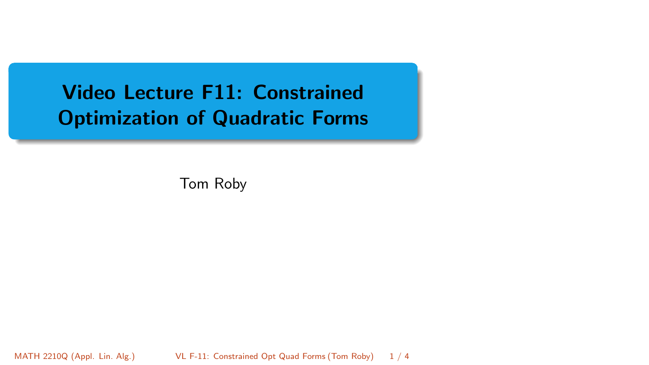# <span id="page-0-0"></span>Video Lecture F11: Constrained Optimization of Quadratic Forms

Tom Roby

MATH 2210Q (Appl. Lin. Alg.) VL F-11: Constrained Opt Quad Forms (Tom Roby) 1 / 4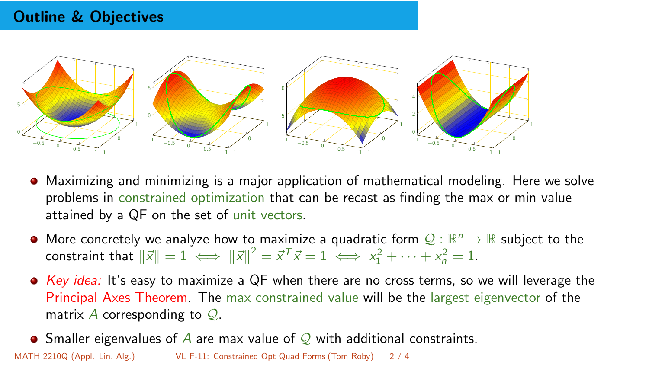## Outline & Objectives



- Maximizing and minimizing is a major application of mathematical modeling. Here we solve problems in constrained optimization that can be recast as finding the max or min value attained by a QF on the set of unit vectors.
- More concretely we analyze how to maximize a quadratic form  $\mathcal{Q} : \mathbb{R}^n \to \mathbb{R}$  subject to the constraint that  $\|\vec{x}\| = 1 \iff \|\vec{x}\|^2 = \vec{x}^T \vec{x} = 1 \iff x_1^2 + \dots + x_n^2 = 1.$
- $\bullet$  Key idea: It's easy to maximize a QF when there are no cross terms, so we will leverage the Principal Axes Theorem. The max constrained value will be the largest eigenvector of the matrix A corresponding to  $Q$ .
- $\bullet$ Smaller eigenvalues of A are max value of  $\mathcal Q$  with additional constraints. MATH 2210Q (Appl. Lin. Alg.) [VL F-11: Constrained Opt Quad Forms](#page-0-0) (Tom Roby) 2 / 4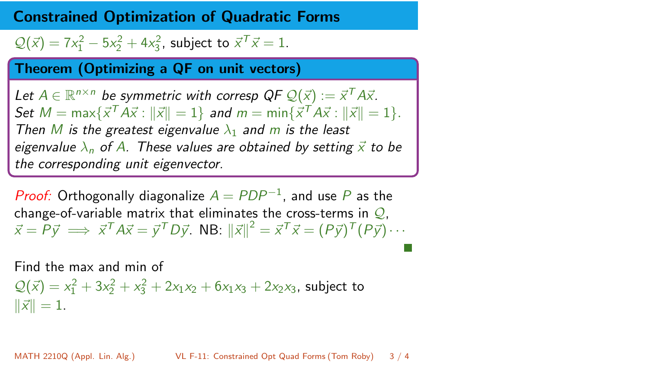### Constrained Optimization of Quadratic Forms

 $Q(\vec{x}) = 7x_1^2 - 5x_2^2 + 4x_3^2$ , subject to  $\vec{x}^T \vec{x} = 1$ .

#### Theorem (Optimizing a QF on unit vectors)

Let  $A \in \mathbb{R}^{n \times n}$  be symmetric with corresp  $QF Q(\vec{x}) := \vec{x}^T A \vec{x}$ . Set  $M = \max\{\vec{x}^T A \vec{x} : ||\vec{x}|| = 1\}$  and  $m = \min\{\vec{x}^T A \vec{x} : ||\vec{x}|| = 1\}.$ Then M is the greatest eigenvalue  $\lambda_1$  and m is the least eigenvalue  $\lambda_n$  of A. These values are obtained by setting  $\vec{x}$  to be the corresponding unit eigenvector.

*Proof:* Orthogonally diagonalize  $A = PDP^{-1}$ , and use P as the change-of-variable matrix that eliminates the cross-terms in  $Q$ ,  $\vec{x} = \vec{P} \vec{y} \implies \vec{x}^T A \vec{x} = \vec{y}^T D \vec{y}$ . NB:  $\|\vec{x}\|^2 = \vec{x}^T \vec{x} = (P \vec{y})^T (P \vec{y}) \cdots$ 

Find the max and min of

$$
Q(\vec{x}) = x_1^2 + 3x_2^2 + x_3^2 + 2x_1x_2 + 6x_1x_3 + 2x_2x_3
$$
, subject to  $||\vec{x}|| = 1$ .

MATH 2210Q (Appl. Lin. Alg.) [VL F-11: Constrained Opt Quad Forms](#page-0-0) (Tom Roby) 3 / 4